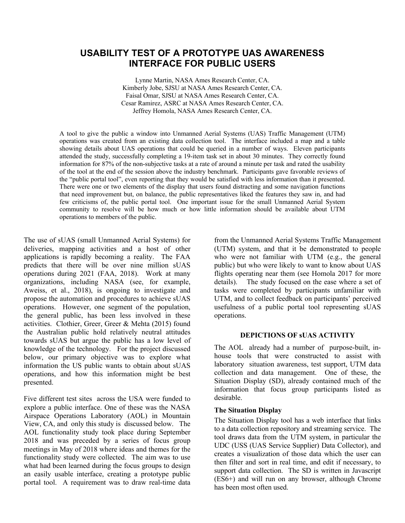# **USABILITY TEST OF A PROTOTYPE UAS AWARENESS INTERFACE FOR PUBLIC USERS**

Lynne Martin, NASA Ames Research Center, CA. Kimberly Jobe, SJSU at NASA Ames Research Center, CA. Faisal Omar, SJSU at NASA Ames Research Center, CA. Cesar Ramirez, ASRC at NASA Ames Research Center, CA. Jeffrey Homola, NASA Ames Research Center, CA.

A tool to give the public a window into Unmanned Aerial Systems (UAS) Traffic Management (UTM) operations was created from an existing data collection tool. The interface included a map and a table showing details about UAS operations that could be queried in a number of ways. Eleven participants attended the study, successfully completing a 19-item task set in about 30 minutes. They correctly found information for 87% of the non-subjective tasks at a rate of around a minute per task and rated the usability of the tool at the end of the session above the industry benchmark. Participants gave favorable reviews of the "public portal tool", even reporting that they would be satisfied with less information than it presented. There were one or two elements of the display that users found distracting and some navigation functions that need improvement but, on balance, the public representatives liked the features they saw in, and had few criticisms of, the public portal tool. One important issue for the small Unmanned Aerial System community to resolve will be how much or how little information should be available about UTM operations to members of the public.

The use of sUAS (small Unmanned Aerial Systems) for deliveries, mapping activities and a host of other applications is rapidly becoming a reality. The FAA predicts that there will be over nine million sUAS operations during 2021 (FAA, 2018). Work at many organizations, including NASA (see, for example, Aweiss, et al., 2018), is ongoing to investigate and propose the automation and procedures to achieve sUAS operations. However, one segment of the population, the general public, has been less involved in these activities. Clothier, Greer, Greer & Mehta (2015) found the Australian public hold relatively neutral attitudes towards sUAS but argue the public has a low level of knowledge of the technology. For the project discussed below, our primary objective was to explore what information the US public wants to obtain about sUAS operations, and how this information might be best presented.

Five different test sites across the USA were funded to explore a public interface. One of these was the NASA Airspace Operations Laboratory (AOL) in Mountain View, CA, and only this study is discussed below. The AOL functionality study took place during September 2018 and was preceded by a series of focus group meetings in May of 2018 where ideas and themes for the functionality study were collected. The aim was to use what had been learned during the focus groups to design an easily usable interface, creating a prototype public portal tool. A requirement was to draw real-time data

from the Unmanned Aerial Systems Traffic Management (UTM) system, and that it be demonstrated to people who were not familiar with UTM (e.g., the general public) but who were likely to want to know about UAS flights operating near them (see Homola 2017 for more details). The study focused on the ease where a set of tasks were completed by participants unfamiliar with UTM, and to collect feedback on participants' perceived usefulness of a public portal tool representing sUAS operations.

## **DEPICTIONS OF sUAS ACTIVITY**

The AOL already had a number of purpose-built, inhouse tools that were constructed to assist with laboratory situation awareness, test support, UTM data collection and data management. One of these, the Situation Display (SD), already contained much of the information that focus group participants listed as desirable.

## **The Situation Display**

The Situation Display tool has a web interface that links to a data collection repository and streaming service. The tool draws data from the UTM system, in particular the UDC (USS (UAS Service Supplier) Data Collector), and creates a visualization of those data which the user can then filter and sort in real time, and edit if necessary, to support data collection. The SD is written in Javascript (ES6+) and will run on any browser, although Chrome has been most often used.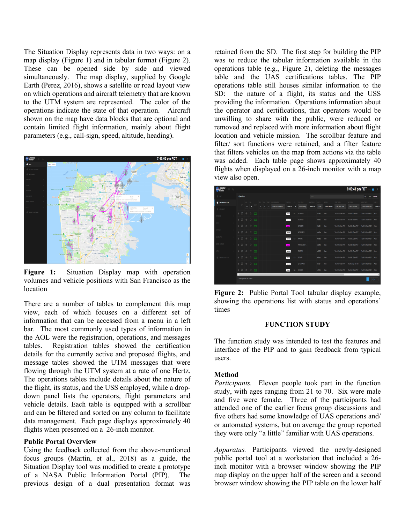The Situation Display represents data in two ways: on a map display (Figure 1) and in tabular format (Figure 2). These can be opened side by side and viewed simultaneously. The map display, supplied by Google Earth (Perez, 2016), shows a satellite or road layout view on which operations and aircraft telemetry that are known to the UTM system are represented. The color of the operations indicate the state of that operation. Aircraft shown on the map have data blocks that are optional and contain limited flight information, mainly about flight parameters (e.g., call-sign, speed, altitude, heading).



**Figure 1:** Situation Display map with operation volumes and vehicle positions with San Francisco as the location

There are a number of tables to complement this map view, each of which focuses on a different set of information that can be accessed from a menu in a left bar. The most commonly used types of information in the AOL were the registration, operations, and messages tables. Registration tables showed the certification details for the currently active and proposed flights, and message tables showed the UTM messages that were flowing through the UTM system at a rate of one Hertz. The operations tables include details about the nature of the flight, its status, and the USS employed, while a dropdown panel lists the operators, flight parameters and vehicle details. Each table is equipped with a scrollbar and can be filtered and sorted on any column to facilitate data management. Each page displays approximately 40 flights when presented on a–26-inch monitor.

#### **Public Portal Overview**

Using the feedback collected from the above-mentioned focus groups (Martin, et al., 2018) as a guide, the Situation Display tool was modified to create a prototype of a NASA Public Information Portal (PIP). The previous design of a dual presentation format was

retained from the SD. The first step for building the PIP was to reduce the tabular information available in the operations table (e.g., Figure 2), deleting the messages table and the UAS certifications tables. The PIP operations table still houses similar information to the SD: the nature of a flight, its status and the USS providing the information. Operations information about the operator and certifications, that operators would be unwilling to share with the public, were reduced or removed and replaced with more information about flight location and vehicle mission. The scrollbar feature and filter/ sort functions were retained, and a filter feature that filters vehicles on the map from actions via the table was added. Each table page shows approximately 40 flights when displayed on a 26-inch monitor with a map view also open.

| Sigarina<br>$\equiv$ $Q$ |                        |  |                  |                            |    |               |         |  |   |                     |               |               |                |              | 8:00:41 pm PDT<br>$\equiv$<br>٠ |              |                    |                               |                    |            |
|--------------------------|------------------------|--|------------------|----------------------------|----|---------------|---------|--|---|---------------------|---------------|---------------|----------------|--------------|---------------------------------|--------------|--------------------|-------------------------------|--------------------|------------|
| 과 M                      |                        |  | <b>Operators</b> |                            |    |               |         |  |   |                     |               |               |                |              |                                 |              |                    | ۰<br>10-<br><b>Door &amp;</b> |                    |            |
| <b>C</b> OPERATIONS LIST |                        |  | RGT.             | VS. FW.                    |    | 5597.0        | DOL: DR |  |   | FIRE ISSUED OF      | SW110         | $\mathcal{L}$ | CRISSEN B      | IVW STATUS 6 | <b>CORT B</b>                   | scop, a      | START THE 0        | END TIME 0                    | some race.         | USER 6     |
| (ii) MESSAGES            |                        |  |                  | Š.                         | ċ. |               |         |  | ٠ | Enter US\$ hatence. | Salect:       | s             | Enter Callage  | Seed U/      | Ede                             | Select Model | Enter Start Time   | Enter End Time.               | Enter Submit Time  | SelectU    |
| REPORTS                  | $\mathcal{A}$          |  | ΣC               | $^{\circ}$                 | Ŷ. | <b>I</b> CON  |         |  |   |                     | Open          | W             | XFLIGHTX       |              | 4,663                           | Ymx          | Thu 9.15.43 am PDT | Thu 9.39 03 am PDT            | Thu 9.15:10 am PDT | Top:       |
| stris.                   |                        |  | > ∂              | $^{\circ}$                 | ۰  | l ca          |         |  |   |                     | Austri        |               | SCHOOL1        |              | 956                             | Ymx.         | Thu 9:15:43 am POT | The 9.36.33 am POT            | The 915:10 am POT  | Xm         |
|                          | $\mathcal{R}$          |  | ) 운              | $\circledR$                | Ŷ. | <b>I</b> CO   |         |  |   |                     | Adve          |               | <b>MARKETT</b> |              | 366                             | Xxx          | Thu 9.15:43 am PDT | Thu 9.50:43 am PDT            | Thu 9.15.09 am PDT | <b>Kox</b> |
| SETTINGS.                | $\mathcal{R}^{\prime}$ |  | Σß               | $^\circledR$               |    | 金国            |         |  |   |                     | layerd        |               | MERCURYI       |              | defa                            | Ymx.         | The 9:15:43 am POT | The 9.54 03 am PDT            | The 9:15:09 am POT | Xox        |
| IEVELOPER                | ×                      |  | ΣC               | $^{\circ}$                 | 츞  | <b>I</b> Con  |         |  |   |                     | <b>Nordel</b> | CA            | MARNET         |              | 6626                            | <b>Ym</b>    | Thu 9.15:43 am PDT | Thu 9.35:20 am PDT            | Thu 9.15:09 am POT | Tm         |
| EATCH SERVER             | $\epsilon$             |  | > ∂              | $\langle 0 \rangle$        | ☆  | l car         |         |  |   |                     | <b>Active</b> |               | PHOTOGRAP      |              | 6601                            | Ymx.         | The 9:15:43 am PDT | The 9.49:03 am PDT            | The 9.15 09 am PDT | <b>Xox</b> |
| $1178$                   | ×                      |  | > ≎              | $\circledR$                | 丶  | <b>I</b> CO   |         |  |   |                     | Reintel       |               | PATROL2        |              | 668                             | Ymr          | Thu 9:15:43 am PDT | Thu 9.50:43 am PDT            | Thu 9.15:09 am PDT | <b>Xm</b>  |
| (iii) coop rugart ust    |                        |  | $\sum_{i=1}^{n}$ | $\circledcirc$             | ☆  | <b>I</b> Call |         |  |   |                     | Dowl          | CA            | SCURT          |              | elezh                           | Ymx          | The 9.15:43 am PDT | Thu 9.36.33 am PDT            | The 9.15:09 am PDT | <b>Ton</b> |
|                          |                        |  | > ∂              | $\circledR$                | 슢  | <b>I</b> CO   |         |  |   |                     | <b>Restal</b> |               | LIFEGUARD      |              | 568                             | Ym.          | The 915-43 am POT  | The 101723 an PDT             | The 9.15:08 am POT | <b>Xm</b>  |
|                          |                        |  | ΣC               |                            |    | ◎ ☆ □         |         |  |   |                     | Oped          | CA.           | <b>HOUSE1</b>  |              | 4217c                           | Ymx.         | Thu 9.15.43 am PDT | Thu 9.57.23 am PDT            | Thu 9.15:08 am PDT | Top:       |
|                          |                        |  |                  | Showing rows 1 to 10 of 37 |    |               |         |  |   |                     |               |               |                |              |                                 |              |                    |                               |                    |            |

**Figure 2:** Public Portal Tool tabular display example, showing the operations list with status and operations' times

## **FUNCTION STUDY**

The function study was intended to test the features and interface of the PIP and to gain feedback from typical users.

## **Method**

*Participants.* Eleven people took part in the function study, with ages ranging from 21 to 70. Six were male and five were female. Three of the participants had attended one of the earlier focus group discussions and five others had some knowledge of UAS operations and/ or automated systems, but on average the group reported they were only "a little" familiar with UAS operations.

*Apparatus.* Participants viewed the newly-designed public portal tool at a workstation that included a 26 inch monitor with a browser window showing the PIP map display on the upper half of the screen and a second browser window showing the PIP table on the lower half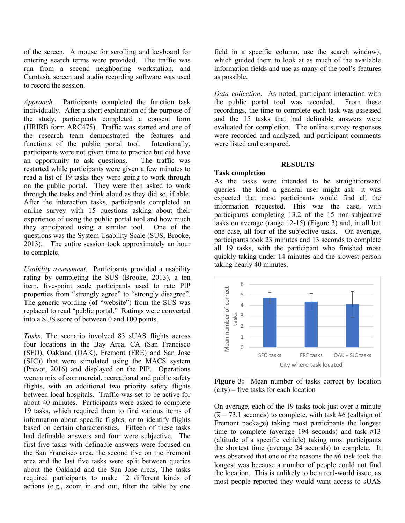of the screen. A mouse for scrolling and keyboard for entering search terms were provided. The traffic was run from a second neighboring workstation, and Camtasia screen and audio recording software was used to record the session.

*Approach.* Participants completed the function task individually. After a short explanation of the purpose of the study, participants completed a consent form (HRIRB form ARC475). Traffic was started and one of the research team demonstrated the features and functions of the public portal tool. Intentionally, participants were not given time to practice but did have an opportunity to ask questions. The traffic was restarted while participants were given a few minutes to read a list of 19 tasks they were going to work through on the public portal. They were then asked to work through the tasks and think aloud as they did so, if able. After the interaction tasks, participants completed an online survey with 15 questions asking about their experience of using the public portal tool and how much they anticipated using a similar tool. One of the questions was the System Usability Scale (SUS; Brooke, 2013). The entire session took approximately an hour to complete.

*Usability assessment*. Participants provided a usability rating by completing the SUS (Brooke, 2013), a ten item, five-point scale participants used to rate PIP properties from "strongly agree" to "strongly disagree". The generic wording (of "website") from the SUS was replaced to read "public portal." Ratings were converted into a SUS score of between 0 and 100 points.

*Tasks*. The scenario involved 83 sUAS flights across four locations in the Bay Area, CA (San Francisco (SFO), Oakland (OAK), Fremont (FRE) and San Jose (SJC)) that were simulated using the MACS system (Prevot, 2016) and displayed on the PIP. Operations were a mix of commercial, recreational and public safety flights, with an additional two priority safety flights between local hospitals. Traffic was set to be active for about 40 minutes. Participants were asked to complete 19 tasks, which required them to find various items of information about specific flights, or to identify flights based on certain characteristics. Fifteen of these tasks had definable answers and four were subjective. The first five tasks with definable answers were focused on the San Francisco area, the second five on the Fremont area and the last five tasks were split between queries about the Oakland and the San Jose areas, The tasks required participants to make 12 different kinds of actions (e.g., zoom in and out, filter the table by one

field in a specific column, use the search window), which guided them to look at as much of the available information fields and use as many of the tool's features as possible.

*Data collection*. As noted, participant interaction with the public portal tool was recorded. From these recordings, the time to complete each task was assessed and the 15 tasks that had definable answers were evaluated for completion. The online survey responses were recorded and analyzed, and participant comments were listed and compared.

# **RESULTS**

## **Task completion**

As the tasks were intended to be straightforward queries—the kind a general user might ask—it was expected that most participants would find all the information requested. This was the case, with participants completing 13.2 of the 15 non-subjective tasks on average (range 12-15) (Figure 3) and, in all but one case, all four of the subjective tasks. On average, participants took 23 minutes and 13 seconds to complete all 19 tasks, with the participant who finished most quickly taking under 14 minutes and the slowest person taking nearly 40 minutes.



**Figure 3:** Mean number of tasks correct by location (city) – five tasks for each location

On average, each of the 19 tasks took just over a minute  $(\bar{x} = 73.1$  seconds) to complete, with task #6 (callsign of Fremont package) taking most participants the longest time to complete (average 194 seconds) and task #13 (altitude of a specific vehicle) taking most participants the shortest time (average 24 seconds) to complete. It was observed that one of the reasons the #6 task took the longest was because a number of people could not find the location. This is unlikely to be a real-world issue, as most people reported they would want access to sUAS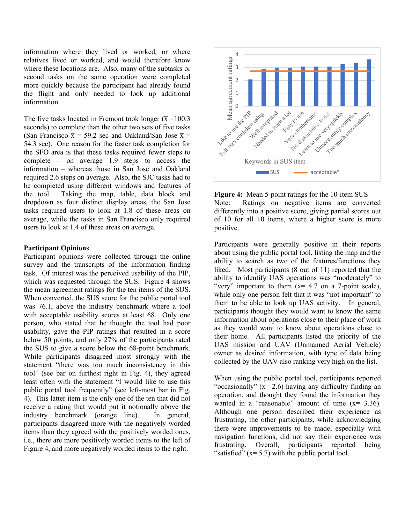information where they lived or worked, or where relatives lived or worked, and would therefore know where these locations are. Also, many of the subtasks or second tasks on the same operation were completed more quickly because the participant had already found the flight and only needed to look up additional information.

The five tasks located in Fremont took longer ( $\bar{x}$  =100.3) seconds) to complete than the other two sets of five tasks (San Francisco  $\bar{x} = 59.2$  sec and Oakland/San Jose  $\bar{x} =$ 54.3 sec). One reason for the faster task completion for the SFO area is that these tasks required fewer steps to complete – on average 1.9 steps to access the information – whereas those in San Jose and Oakland required 2.6 steps on average. Also, the SJC tasks had to be completed using different windows and features of the tool. Taking the map, table, data block and dropdown as four distinct display areas, the San Jose tasks required users to look at 1.8 of these areas on average, while the tasks in San Francisco only required users to look at 1.4 of these areas on average.

## **Participant Opinions**

Participant opinions were collected through the online survey and the transcripts of the information finding task. Of interest was the perceived usability of the PIP, which was requested through the SUS. Figure 4 shows the mean agreement ratings for the ten items of the SUS. When converted, the SUS score for the public portal tool was 76.1, above the industry benchmark where a tool with acceptable usability scores at least 68. Only one person, who stated that he thought the tool had poor usability, gave the PIP ratings that resulted in a score below 50 points, and only 27% of the participants rated the SUS to give a score below the 68-point benchmark. While participants disagreed most strongly with the statement "there was too much inconsistency in this tool" (see bar on furthest right in Fig. 4), they agreed least often with the statement "I would like to use this public portal tool frequently" (see left-most bar in Fig. 4). This latter item is the only one of the ten that did not receive a rating that would put it notionally above the industry benchmark (orange line). In general, participants disagreed more with the negatively worded items than they agreed with the positively worded ones, i.e., there are more positively worded items to the left of Figure 4, and more negatively worded items to the right.



**Figure 4:** Mean 5-point ratings for the 10-item SUS Note:Ratings on negative items are converted differently into a positive score, giving partial scores out of 10 for all 10 items, where a higher score is more positive.

Participants were generally positive in their reports about using the public portal tool, listing the map and the ability to search as two of the features/functions they liked. Most participants (8 out of 11) reported that the ability to identify UAS operations was "moderately" to "very" important to them  $(\overline{x} = 4.7 \text{ on a 7-point scale})$ , while only one person felt that it was "not important" to them to be able to look up UAS activity. In general, participants thought they would want to know the same information about operations close to their place of work as they would want to know about operations close to their home. All participants listed the priority of the UAS mission and UAV (Unmanned Aerial Vehicle) owner as desired information, with type of data being collected by the UAV also ranking very high on the list.

When using the public portal tool, participants reported "occasionally" ( $\bar{x}$ = 2.6) having any difficulty finding an operation, and thought they found the information they wanted in a "reasonable" amount of time  $(\bar{x} = 3.36)$ . Although one person described their experience as frustrating, the other participants, while acknowledging there were improvements to be made, especially with navigation functions, did not say their experience was frustrating. Overall, participants reported being "satisfied" ( $\bar{x}$ = 5.7) with the public portal tool.